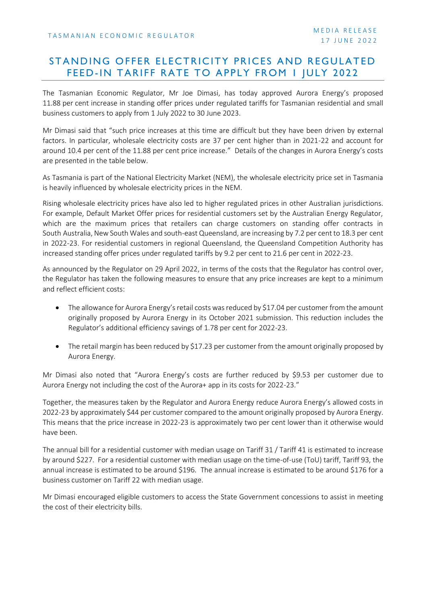## STANDING OFFER ELECTRICITY PRICES AND REGULATED FEED-IN TARIFF RATE TO APPLY FROM I JULY 2022

The Tasmanian Economic Regulator, Mr Joe Dimasi, has today approved Aurora Energy's proposed 11.88 per cent increase in standing offer prices under regulated tariffs for Tasmanian residential and small business customers to apply from 1 July 2022 to 30 June 2023.

Mr Dimasi said that "such price increases at this time are difficult but they have been driven by external factors. In particular, wholesale electricity costs are 37 per cent higher than in 2021-22 and account for around 10.4 per cent of the 11.88 per cent price increase." Details of the changes in Aurora Energy's costs are presented in the table below.

As Tasmania is part of the National Electricity Market (NEM), the wholesale electricity price set in Tasmania is heavily influenced by wholesale electricity prices in the NEM.

Rising wholesale electricity prices have also led to higher regulated prices in other Australian jurisdictions. For example, Default Market Offer prices for residential customers set by the Australian Energy Regulator, which are the maximum prices that retailers can charge customers on standing offer contracts in South Australia, New South Wales and south-east Queensland, are increasing by 7.2 per cent to 18.3 per cent in 2022-23. For residential customers in regional Queensland, the Queensland Competition Authority has increased standing offer prices under regulated tariffs by 9.2 per cent to 21.6 per cent in 2022-23.

As announced by the Regulator on 29 April 2022, in terms of the costs that the Regulator has control over, the Regulator has taken the following measures to ensure that any price increases are kept to a minimum and reflect efficient costs:

- The allowance for Aurora Energy's retail costs was reduced by \$17.04 per customer from the amount originally proposed by Aurora Energy in its October 2021 submission. This reduction includes the Regulator's additional efficiency savings of 1.78 per cent for 2022-23.
- The retail margin has been reduced by \$17.23 per customer from the amount originally proposed by Aurora Energy.

Mr Dimasi also noted that "Aurora Energy's costs are further reduced by \$9.53 per customer due to Aurora Energy not including the cost of the Aurora+ app in its costs for 2022-23."

Together, the measures taken by the Regulator and Aurora Energy reduce Aurora Energy's allowed costs in 2022-23 by approximately \$44 per customer compared to the amount originally proposed by Aurora Energy. This means that the price increase in 2022-23 is approximately two per cent lower than it otherwise would have been.

The annual bill for a residential customer with median usage on Tariff 31 / Tariff 41 is estimated to increase by around \$227. For a residential customer with median usage on the time-of-use (ToU) tariff, Tariff 93, the annual increase is estimated to be around \$196. The annual increase is estimated to be around \$176 for a business customer on Tariff 22 with median usage.

Mr Dimasi encouraged eligible customers to access the State Government concessions to assist in meeting the cost of their electricity bills.